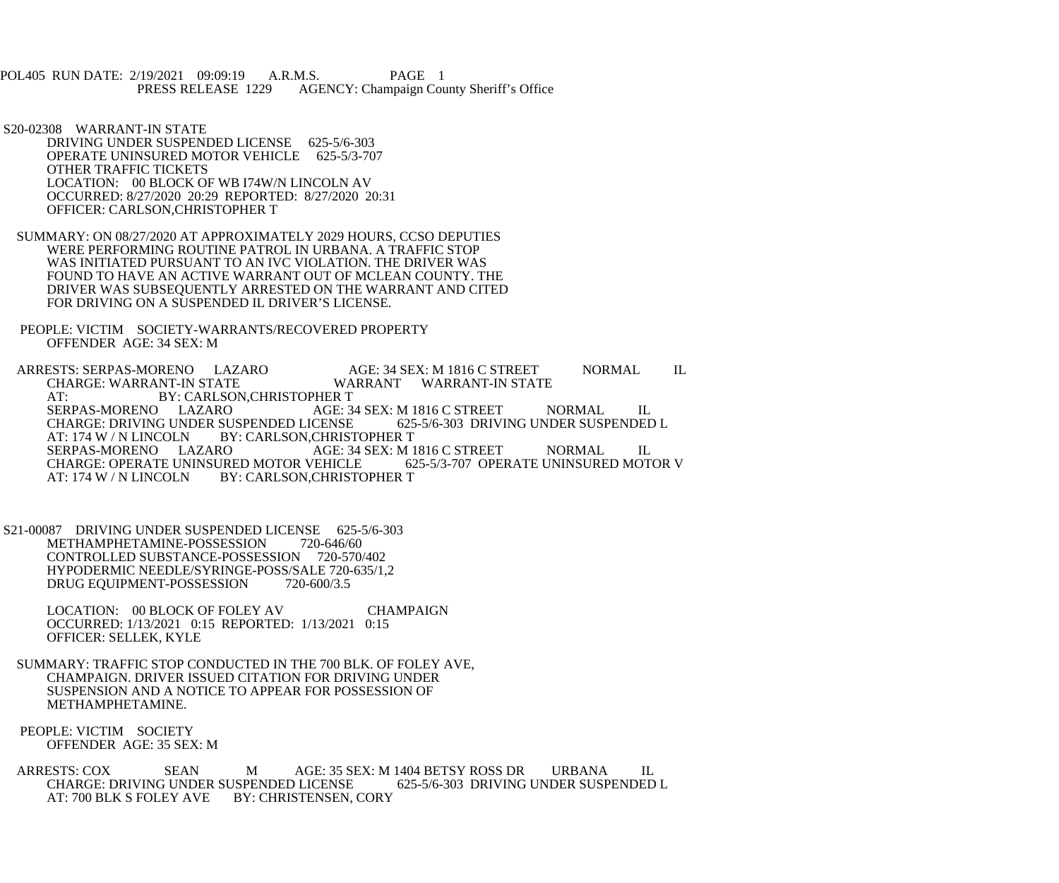POL405 RUN DATE: 2/19/2021 09:09:19 A.R.M.S. PAGE 1<br>PRESS RELEASE 1229 AGENCY: Champaign Cou AGENCY: Champaign County Sheriff's Office

 S20-02308 WARRANT-IN STATE DRIVING UNDER SUSPENDED LICENSE 625-5/6-303 OPERATE UNINSURED MOTOR VEHICLE 625-5/3-707 OTHER TRAFFIC TICKETS LOCATION: 00 BLOCK OF WB I74W/N LINCOLN AV OCCURRED: 8/27/2020 20:29 REPORTED: 8/27/2020 20:31 OFFICER: CARLSON,CHRISTOPHER T

- SUMMARY: ON 08/27/2020 AT APPROXIMATELY 2029 HOURS, CCSO DEPUTIES WERE PERFORMING ROUTINE PATROL IN URBANA. A TRAFFIC STOP WAS INITIATED PURSUANT TO AN IVC VIOLATION. THE DRIVER WAS FOUND TO HAVE AN ACTIVE WARRANT OUT OF MCLEAN COUNTY. THE DRIVER WAS SUBSEQUENTLY ARRESTED ON THE WARRANT AND CITED FOR DRIVING ON A SUSPENDED IL DRIVER'S LICENSE.
- PEOPLE: VICTIM SOCIETY-WARRANTS/RECOVERED PROPERTY OFFENDER AGE: 34 SEX: M

ARRESTS: SERPAS-MORENO LAZARO AGE: 34 SEX: M 1816 C STREET NORMAL IL CHARGE: WARRANT-IN STATE WARRANT WARRANT-IN STATE AT: BY: CARLSON, CHRISTOPHER T<br>SERPAS-MORENO LAZARO AGE: 3 AGE: 34 SEX: M 1816 C STREET NORMAL IL<br>ICENSE 625-5/6-303 DRIVING UNDER SUSPENDED L CHARGE: DRIVING UNDER SUSPENDED LICENSE<br>AT: 174 W / N LINCOLN BY: CARLSON.CHRIST AT: 174 W / N LINCOLN BY: CARLSON, CHRISTOPHER T<br>SERPAS-MORENO LAZARO AGE: 34 SEX: M 1 AGE: 34 SEX: M 1816 C STREET NORMAL IL<br>VEHICLE 625-5/3-707 OPERATE UNINSURED MOTOR V CHARGE: OPERATE UNINSURED MOTOR VEHICLE<br>AT: 174 W / N LINCOLN BY: CARLSON, CHRISTO BY: CARLSON, CHRISTOPHER T

 S21-00087 DRIVING UNDER SUSPENDED LICENSE 625-5/6-303 METHAMPHETAMINE-POSSESSION 720-646/60 CONTROLLED SUBSTANCE-POSSESSION 720-570/402 HYPODERMIC NEEDLE/SYRINGE-POSS/SALE 720-635/1,2<br>DRUG EOUIPMENT-POSSESSION 720-600/3.5 DRUG EQUIPMENT-POSSESSION

> LOCATION: 00 BLOCK OF FOLEY AV CHAMPAIGN OCCURRED: 1/13/2021 0:15 REPORTED: 1/13/2021 0:15 OFFICER: SELLEK, KYLE

 SUMMARY: TRAFFIC STOP CONDUCTED IN THE 700 BLK. OF FOLEY AVE, CHAMPAIGN. DRIVER ISSUED CITATION FOR DRIVING UNDER SUSPENSION AND A NOTICE TO APPEAR FOR POSSESSION OF METHAMPHETAMINE.

 PEOPLE: VICTIM SOCIETY OFFENDER AGE: 35 SEX: M

ARRESTS: COX SEAN MAGE: 35 SEX: M 1404 BETSY ROSS DR URBANA IL CHARGE: DRIVING UNDER SUSPENDED LICENSE 625-5/6-303 DRIVING UNDER SUSPENDED L CHARGE: DRIVING UNDER SUSPENDED LICENSE AT: 700 BLK S FOLEY AVE BY: CHRISTENSEN, CORY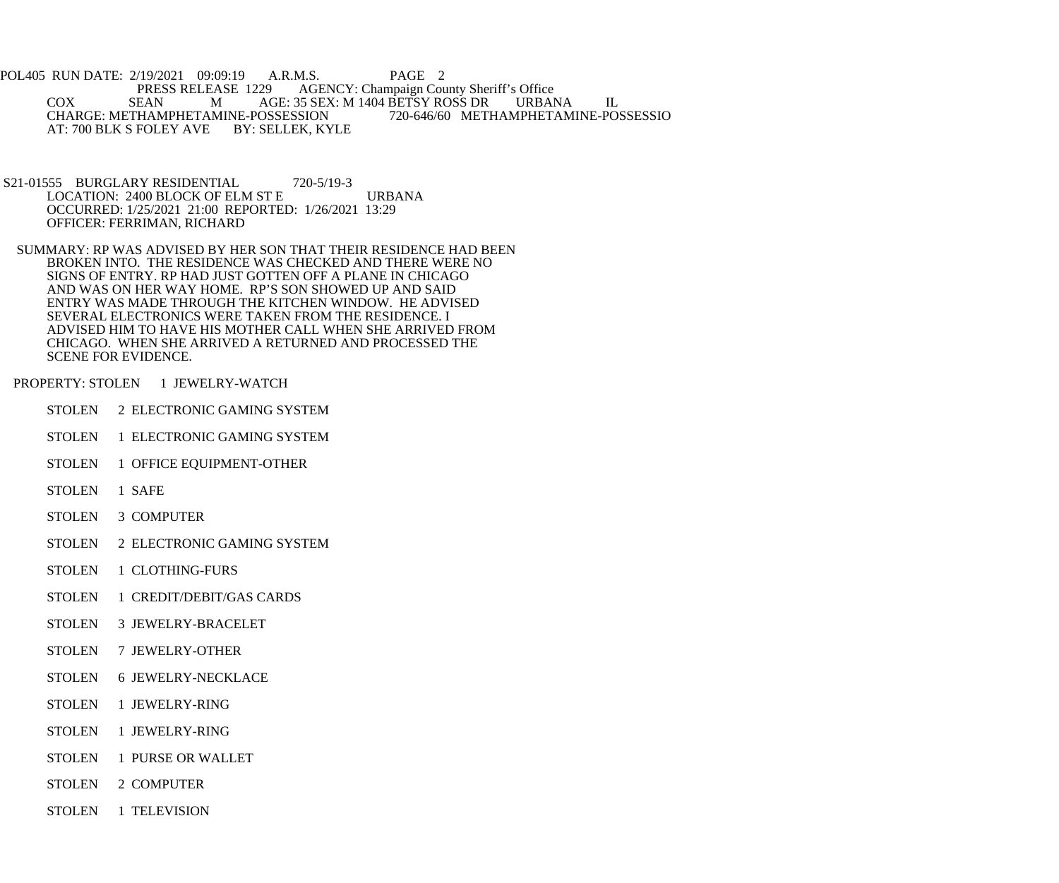POL405 RUN DATE: 2/19/2021 09:09:19 A.R.M.S. PAGE 2<br>PRESS RELEASE 1229 AGENCY: Champaign Cou PRESS RELEASE 1229 AGENCY: Champaign County Sheriff's Office<br>COX SEAN M AGE: 35 SEX: M 1404 BETSY ROSS DR URBAL M AGE: 35 SEX: M 1404 BETSY ROSS DR URBANA IL<br>AMINE-POSSESSION 720-646/60 METHAMPHETAMINE-POSSESSIO CHARGE: METHAMPHETAMINE-POSSESSION<br>AT: 700 BLK S FOLEY AVE BY: SELLEK, KYLE AT: 700 BLK S FOLEY AVE

- S21-01555 BURGLARY RESIDENTIAL 720-5/19-3 LOCATION: 2400 BLOCK OF ELM ST E URBANA OCCURRED: 1/25/2021 21:00 REPORTED: 1/26/2021 13:29 OFFICER: FERRIMAN, RICHARD
- SUMMARY: RP WAS ADVISED BY HER SON THAT THEIR RESIDENCE HAD BEEN BROKEN INTO. THE RESIDENCE WAS CHECKED AND THERE WERE NO SIGNS OF ENTRY. RP HAD JUST GOTTEN OFF A PLANE IN CHICAGO AND WAS ON HER WAY HOME. RP'S SON SHOWED UP AND SAID ENTRY WAS MADE THROUGH THE KITCHEN WINDOW. HE ADVISED SEVERAL ELECTRONICS WERE TAKEN FROM THE RESIDENCE. I ADVISED HIM TO HAVE HIS MOTHER CALL WHEN SHE ARRIVED FROM CHICAGO. WHEN SHE ARRIVED A RETURNED AND PROCESSED THE SCENE FOR EVIDENCE.
- PROPERTY: STOLEN 1 JEWELRY-WATCH
	- STOLEN 2 ELECTRONIC GAMING SYSTEM
	- STOLEN 1 ELECTRONIC GAMING SYSTEM
	- STOLEN 1 OFFICE EQUIPMENT-OTHER
	- STOLEN 1 SAFE
	- STOLEN 3 COMPUTER
	- STOLEN 2 ELECTRONIC GAMING SYSTEM
	- STOLEN 1 CLOTHING-FURS
	- STOLEN 1 CREDIT/DEBIT/GAS CARDS
	- STOLEN 3 JEWELRY-BRACELET
	- STOLEN 7 JEWELRY-OTHER
	- STOLEN 6 JEWELRY-NECKLACE
	- STOLEN 1 JEWELRY-RING
	- STOLEN 1 JEWELRY-RING
	- STOLEN 1 PURSE OR WALLET
	- STOLEN 2 COMPUTER
	- STOLEN 1 TELEVISION